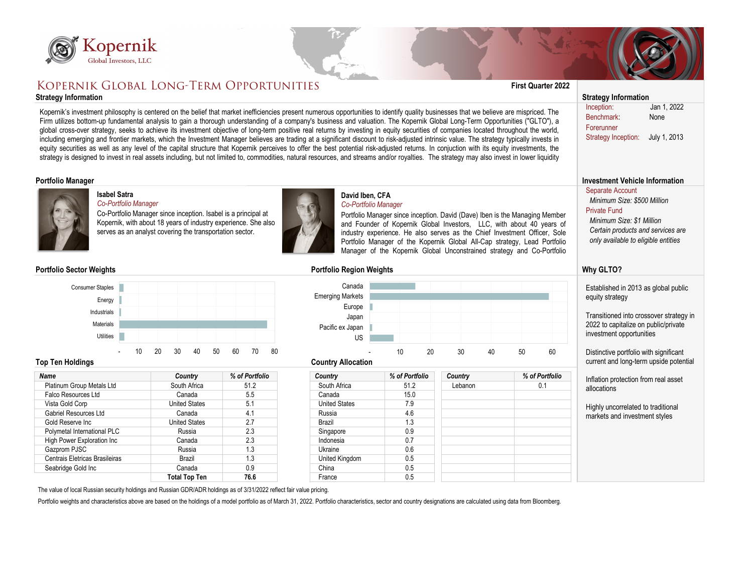

# KOPERNIK GLOBAL LONG-TERM OPPORTUNITIES

## **Strategy Information Strategy Information**



| <b>Name</b>                       | <b>Country</b>       | % of Portfolio | <b>Country</b>       | % of Portfolio | <b>Country</b> | % of Portfolic |  |
|-----------------------------------|----------------------|----------------|----------------------|----------------|----------------|----------------|--|
| <b>Platinum Group Metals Ltd</b>  | South Africa         | 51.2           | South Africa         | 51.2           | Lebanon        | 0.1            |  |
| <b>Falco Resources Ltd</b>        | Canada               | 5.5            | Canada               | 15.0           |                |                |  |
| Vista Gold Corp                   | <b>United States</b> | 5.1            | <b>United States</b> | 7.9            |                |                |  |
| <b>Gabriel Resources Ltd</b>      | Canada               | 4.1            | Russia               | 4.6            |                |                |  |
| Gold Reserve Inc                  | <b>United States</b> | 2.7            | <b>Brazil</b>        | 1.3            |                |                |  |
| Polymetal International PLC       | Russia               | 2.3            | Singapore            | 0.9            |                |                |  |
| <b>High Power Exploration Inc</b> | Canada               | 2.3            | Indonesia            | 0.7            |                |                |  |
| Gazprom PJSC                      | Russia               | 1.3            | <b>Ukraine</b>       | 0.6            |                |                |  |
| Centrais Eletricas Brasileiras    | <b>Brazil</b>        | 1.3            | United Kingdom       | 0.5            |                |                |  |
| Seabridge Gold Inc                | Canada               | 0.9            | China                | 0.5            |                |                |  |
|                                   | <b>Total Top Ten</b> | 76.6           | France               | 0.5            |                |                |  |



| Kopernik<br>Global Investors, LLC                                                                                                                                                                                                                                                                                                                                                                                                                                                                                                                                                                                                                                                                                                                                                                                                                                                                                                                                                                                                                                                                                                                      |                                                                                                                                                                                              |                      |                                                                          |                                                                                                                                                                                                                                                                                                                                                                                          |                 |          |                                                     |                                                                                                                                                                                        |  |
|--------------------------------------------------------------------------------------------------------------------------------------------------------------------------------------------------------------------------------------------------------------------------------------------------------------------------------------------------------------------------------------------------------------------------------------------------------------------------------------------------------------------------------------------------------------------------------------------------------------------------------------------------------------------------------------------------------------------------------------------------------------------------------------------------------------------------------------------------------------------------------------------------------------------------------------------------------------------------------------------------------------------------------------------------------------------------------------------------------------------------------------------------------|----------------------------------------------------------------------------------------------------------------------------------------------------------------------------------------------|----------------------|--------------------------------------------------------------------------|------------------------------------------------------------------------------------------------------------------------------------------------------------------------------------------------------------------------------------------------------------------------------------------------------------------------------------------------------------------------------------------|-----------------|----------|-----------------------------------------------------|----------------------------------------------------------------------------------------------------------------------------------------------------------------------------------------|--|
| KOPERNIK GLOBAL LONG-TERM OPPORTUNITIES                                                                                                                                                                                                                                                                                                                                                                                                                                                                                                                                                                                                                                                                                                                                                                                                                                                                                                                                                                                                                                                                                                                |                                                                                                                                                                                              |                      |                                                                          |                                                                                                                                                                                                                                                                                                                                                                                          |                 |          | <b>First Quarter 2022</b>                           |                                                                                                                                                                                        |  |
| <b>Strategy Information</b>                                                                                                                                                                                                                                                                                                                                                                                                                                                                                                                                                                                                                                                                                                                                                                                                                                                                                                                                                                                                                                                                                                                            |                                                                                                                                                                                              |                      |                                                                          |                                                                                                                                                                                                                                                                                                                                                                                          |                 |          |                                                     | <b>Strategy Information</b>                                                                                                                                                            |  |
| Kopernik's investment philosophy is centered on the belief that market inefficiencies present numerous opportunities to identify quality businesses that we believe are mispriced. The<br>Firm utilizes bottom-up fundamental analysis to gain a thorough understanding of a company's business and valuation. The Kopernik Global Long-Term Opportunities ("GLTO"), a<br>global cross-over strategy, seeks to achieve its investment objective of long-term positive real returns by investing in equity securities of companies located throughout the world,<br>including emerging and frontier markets, which the Investment Manager believes are trading at a significant discount to risk-adjusted intrinsic value. The strategy typically invests in<br>equity securities as well as any level of the capital structure that Kopernik perceives to offer the best potential risk-adjusted returns. In conjuction with its equity investments, the<br>strategy is designed to invest in real assets including, but not limited to, commodities, natural resources, and streams and/or royalties. The strategy may also invest in lower liquidity |                                                                                                                                                                                              |                      |                                                                          |                                                                                                                                                                                                                                                                                                                                                                                          |                 |          |                                                     | Jan 1, 2022<br>Inception:<br><b>Benchmark</b><br>None<br>Forerunner<br>July 1, 2013<br><b>Strategy Inception:</b>                                                                      |  |
| <b>Portfolio Manager</b>                                                                                                                                                                                                                                                                                                                                                                                                                                                                                                                                                                                                                                                                                                                                                                                                                                                                                                                                                                                                                                                                                                                               |                                                                                                                                                                                              |                      |                                                                          |                                                                                                                                                                                                                                                                                                                                                                                          |                 |          |                                                     | <b>Investment Vehicle Information</b>                                                                                                                                                  |  |
| <b>Isabel Satra</b><br>Co-Portfolio Manager                                                                                                                                                                                                                                                                                                                                                                                                                                                                                                                                                                                                                                                                                                                                                                                                                                                                                                                                                                                                                                                                                                            | Co-Portfolio Manager since inception. Isabel is a principal at<br>Kopernik, with about 18 years of industry experience. She also<br>serves as an analyst covering the transportation sector. |                      | David Iben, CFA<br>Co-Portfolio Manager                                  | Portfolio Manager since inception. David (Dave) Iben is the Managing Member<br>and Founder of Kopernik Global Investors, LLC, with about 40 years of<br>industry experience. He also serves as the Chief Investment Officer, Sole<br>Portfolio Manager of the Kopernik Global All-Cap strategy, Lead Portfolio<br>Manager of the Kopernik Global Unconstrained strategy and Co-Portfolio |                 |          |                                                     | <b>Separate Account</b><br>Minimum Size: \$500 Million<br><b>Private Fund</b><br>Minimum Size: \$1 Million<br>Certain products and services are<br>only available to eligible entities |  |
| <b>Portfolio Sector Weights</b>                                                                                                                                                                                                                                                                                                                                                                                                                                                                                                                                                                                                                                                                                                                                                                                                                                                                                                                                                                                                                                                                                                                        |                                                                                                                                                                                              |                      | <b>Portfolio Region Weights</b>                                          |                                                                                                                                                                                                                                                                                                                                                                                          |                 |          |                                                     | <b>Why GLTO?</b>                                                                                                                                                                       |  |
| <b>Consumer Staples</b><br>Energy<br>Industrials<br><b>Materials</b>                                                                                                                                                                                                                                                                                                                                                                                                                                                                                                                                                                                                                                                                                                                                                                                                                                                                                                                                                                                                                                                                                   |                                                                                                                                                                                              |                      | Canada<br><b>Emerging Markets</b><br>Europe<br>Japan<br>Pacific ex Japan |                                                                                                                                                                                                                                                                                                                                                                                          |                 |          |                                                     | Established in 2013 as global public<br>equity strategy<br>Transitioned into crossover strategy in<br>2022 to capitalize on public/private                                             |  |
| Utilities                                                                                                                                                                                                                                                                                                                                                                                                                                                                                                                                                                                                                                                                                                                                                                                                                                                                                                                                                                                                                                                                                                                                              |                                                                                                                                                                                              |                      | <b>US</b>                                                                | investment opportunities                                                                                                                                                                                                                                                                                                                                                                 |                 |          |                                                     |                                                                                                                                                                                        |  |
| 10 <sup>°</sup><br><b>Top Ten Holdings</b>                                                                                                                                                                                                                                                                                                                                                                                                                                                                                                                                                                                                                                                                                                                                                                                                                                                                                                                                                                                                                                                                                                             | 20<br>40<br>50<br>30 <sup>°</sup>                                                                                                                                                            | 60<br>70<br>80       | <b>Country Allocation</b>                                                | 20<br>10                                                                                                                                                                                                                                                                                                                                                                                 | 30 <sup>°</sup> | 50<br>40 | 60                                                  | Distinctive portfolio with significant<br>current and long-term upside potential                                                                                                       |  |
| <b>Name</b>                                                                                                                                                                                                                                                                                                                                                                                                                                                                                                                                                                                                                                                                                                                                                                                                                                                                                                                                                                                                                                                                                                                                            | Country                                                                                                                                                                                      | % of Portfolio       | <b>Country</b>                                                           | % of Portfolio                                                                                                                                                                                                                                                                                                                                                                           | <b>Country</b>  |          | % of Portfolio                                      |                                                                                                                                                                                        |  |
| <b>Platinum Group Metals Ltd</b><br>51.2<br>South Africa                                                                                                                                                                                                                                                                                                                                                                                                                                                                                                                                                                                                                                                                                                                                                                                                                                                                                                                                                                                                                                                                                               |                                                                                                                                                                                              | South Africa         | 51.2                                                                     |                                                                                                                                                                                                                                                                                                                                                                                          |                 | 0.1      | Inflation protection from real asset<br>allocations |                                                                                                                                                                                        |  |
| <b>Falco Resources Ltd</b>                                                                                                                                                                                                                                                                                                                                                                                                                                                                                                                                                                                                                                                                                                                                                                                                                                                                                                                                                                                                                                                                                                                             | Canada                                                                                                                                                                                       | 5.5                  | Canada                                                                   | 15.0                                                                                                                                                                                                                                                                                                                                                                                     |                 |          |                                                     |                                                                                                                                                                                        |  |
| Vista Gold Corp                                                                                                                                                                                                                                                                                                                                                                                                                                                                                                                                                                                                                                                                                                                                                                                                                                                                                                                                                                                                                                                                                                                                        | <b>United States</b>                                                                                                                                                                         | 5.1                  | <b>United States</b>                                                     | 7.9                                                                                                                                                                                                                                                                                                                                                                                      |                 |          |                                                     | Highly uncorrelated to traditional                                                                                                                                                     |  |
| <b>Gabriel Resources Ltd</b>                                                                                                                                                                                                                                                                                                                                                                                                                                                                                                                                                                                                                                                                                                                                                                                                                                                                                                                                                                                                                                                                                                                           | 4.1<br>Canada<br>Russia                                                                                                                                                                      |                      | 4.6                                                                      |                                                                                                                                                                                                                                                                                                                                                                                          |                 |          | markets and investment styles                       |                                                                                                                                                                                        |  |
| 2.7<br><b>United States</b><br>Gold Reserve Inc                                                                                                                                                                                                                                                                                                                                                                                                                                                                                                                                                                                                                                                                                                                                                                                                                                                                                                                                                                                                                                                                                                        |                                                                                                                                                                                              | 1.3<br><b>Brazil</b> |                                                                          |                                                                                                                                                                                                                                                                                                                                                                                          |                 |          |                                                     |                                                                                                                                                                                        |  |
| Polymetal International PLC                                                                                                                                                                                                                                                                                                                                                                                                                                                                                                                                                                                                                                                                                                                                                                                                                                                                                                                                                                                                                                                                                                                            | Russia                                                                                                                                                                                       | 2.3                  | Singapore                                                                | 0.9                                                                                                                                                                                                                                                                                                                                                                                      |                 |          |                                                     |                                                                                                                                                                                        |  |
| <b>High Power Exploration Inc</b>                                                                                                                                                                                                                                                                                                                                                                                                                                                                                                                                                                                                                                                                                                                                                                                                                                                                                                                                                                                                                                                                                                                      | Canada                                                                                                                                                                                       | 2.3                  | Indonesia                                                                | 0.7                                                                                                                                                                                                                                                                                                                                                                                      |                 |          |                                                     |                                                                                                                                                                                        |  |
| Gazprom PJSC                                                                                                                                                                                                                                                                                                                                                                                                                                                                                                                                                                                                                                                                                                                                                                                                                                                                                                                                                                                                                                                                                                                                           | Russia                                                                                                                                                                                       | 1.3                  | <b>Ukraine</b>                                                           | 0.6                                                                                                                                                                                                                                                                                                                                                                                      |                 |          |                                                     |                                                                                                                                                                                        |  |
| <b>Centrais Eletricas Brasileiras</b>                                                                                                                                                                                                                                                                                                                                                                                                                                                                                                                                                                                                                                                                                                                                                                                                                                                                                                                                                                                                                                                                                                                  | <b>Brazil</b>                                                                                                                                                                                | 1.3                  | United Kingdom                                                           | 0.5                                                                                                                                                                                                                                                                                                                                                                                      |                 |          |                                                     |                                                                                                                                                                                        |  |
| Seabridge Gold Inc                                                                                                                                                                                                                                                                                                                                                                                                                                                                                                                                                                                                                                                                                                                                                                                                                                                                                                                                                                                                                                                                                                                                     | Canada                                                                                                                                                                                       | 0.9                  | China                                                                    | 0.5                                                                                                                                                                                                                                                                                                                                                                                      |                 |          |                                                     |                                                                                                                                                                                        |  |
| The value of local Russian security holdings and Russian GDR/ADR holdings as of 3/31/2022 reflect fair value pricing                                                                                                                                                                                                                                                                                                                                                                                                                                                                                                                                                                                                                                                                                                                                                                                                                                                                                                                                                                                                                                   | <b>Total Top Ten</b>                                                                                                                                                                         | 76.6                 | France                                                                   | 0.5                                                                                                                                                                                                                                                                                                                                                                                      |                 |          |                                                     |                                                                                                                                                                                        |  |

# **David Iben, CFA**

## **Portfolio Sector Weights Portfolio Region Weights**



The value of local Russian security holdings and Russian GDR/ADR holdings as of 3/31/2022 reflect fair value pricing.

Portfolio weights and characteristics above are based on the holdings of a model portfolio as of March 31, 2022. Portfolio characteristics, sector and country designations are calculated using data from Bloomberg.

### **Isabel Satra** *Co-Portfolio Manager*